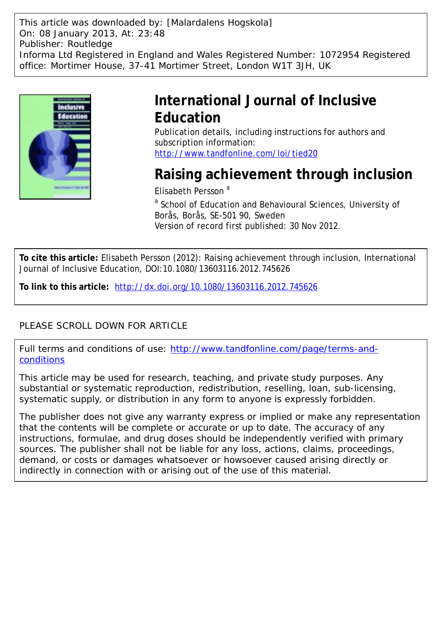This article was downloaded by: [Malardalens Hogskola] On: 08 January 2013, At: 23:48 Publisher: Routledge Informa Ltd Registered in England and Wales Registered Number: 1072954 Registered office: Mortimer House, 37-41 Mortimer Street, London W1T 3JH, UK



# **International Journal of Inclusive Education**

Publication details, including instructions for authors and subscription information: <http://www.tandfonline.com/loi/tied20>

# **Raising achievement through inclusion**

Flisabeth Persson<sup>a</sup>

<sup>a</sup> School of Education and Behavioural Sciences, University of Borås, Borås, SE-501 90, Sweden Version of record first published: 30 Nov 2012.

**To cite this article:** Elisabeth Persson (2012): Raising achievement through inclusion, International Journal of Inclusive Education, DOI:10.1080/13603116.2012.745626

**To link to this article:** <http://dx.doi.org/10.1080/13603116.2012.745626>

## PLEASE SCROLL DOWN FOR ARTICLE

Full terms and conditions of use: [http://www.tandfonline.com/page/terms-and](http://www.tandfonline.com/page/terms-and-conditions)[conditions](http://www.tandfonline.com/page/terms-and-conditions)

This article may be used for research, teaching, and private study purposes. Any substantial or systematic reproduction, redistribution, reselling, loan, sub-licensing, systematic supply, or distribution in any form to anyone is expressly forbidden.

The publisher does not give any warranty express or implied or make any representation that the contents will be complete or accurate or up to date. The accuracy of any instructions, formulae, and drug doses should be independently verified with primary sources. The publisher shall not be liable for any loss, actions, claims, proceedings, demand, or costs or damages whatsoever or howsoever caused arising directly or indirectly in connection with or arising out of the use of this material.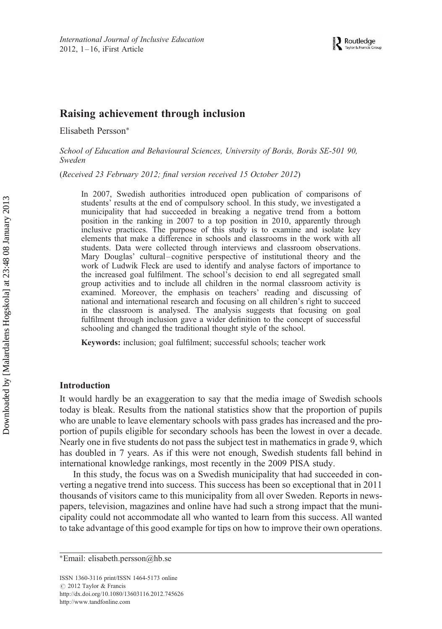## Raising achievement through inclusion

Elisabeth Persson<sup>∗</sup>

School of Education and Behavioural Sciences, University of Borås, Borås SE-501 90, Sweden

(Received 23 February 2012; final version received 15 October 2012)

In 2007, Swedish authorities introduced open publication of comparisons of students' results at the end of compulsory school. In this study, we investigated a municipality that had succeeded in breaking a negative trend from a bottom position in the ranking in 2007 to a top position in 2010, apparently through inclusive practices. The purpose of this study is to examine and isolate key elements that make a difference in schools and classrooms in the work with all students. Data were collected through interviews and classroom observations. Mary Douglas' cultural–cognitive perspective of institutional theory and the work of Ludwik Fleck are used to identify and analyse factors of importance to the increased goal fulfilment. The school's decision to end all segregated small group activities and to include all children in the normal classroom activity is examined. Moreover, the emphasis on teachers' reading and discussing of national and international research and focusing on all children's right to succeed in the classroom is analysed. The analysis suggests that focusing on goal fulfilment through inclusion gave a wider definition to the concept of successful schooling and changed the traditional thought style of the school.

Keywords: inclusion; goal fulfilment; successful schools; teacher work

### Introduction

It would hardly be an exaggeration to say that the media image of Swedish schools today is bleak. Results from the national statistics show that the proportion of pupils who are unable to leave elementary schools with pass grades has increased and the proportion of pupils eligible for secondary schools has been the lowest in over a decade. Nearly one in five students do not pass the subject test in mathematics in grade 9, which has doubled in 7 years. As if this were not enough, Swedish students fall behind in international knowledge rankings, most recently in the 2009 PISA study.

In this study, the focus was on a Swedish municipality that had succeeded in converting a negative trend into success. This success has been so exceptional that in 2011 thousands of visitors came to this municipality from all over Sweden. Reports in newspapers, television, magazines and online have had such a strong impact that the municipality could not accommodate all who wanted to learn from this success. All wanted to take advantage of this good example for tips on how to improve their own operations.

<sup>∗</sup>Email: elisabeth.persson@hb.se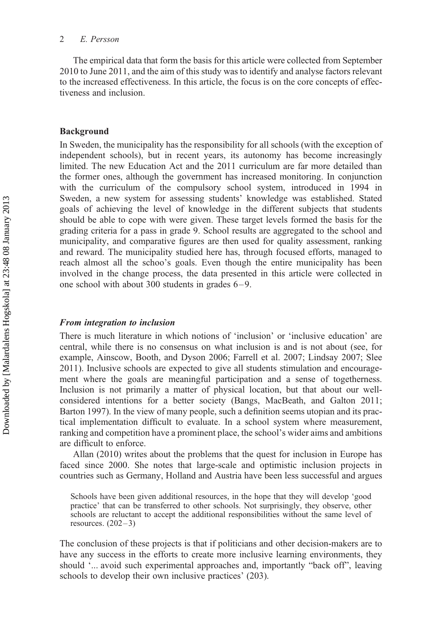The empirical data that form the basis for this article were collected from September 2010 to June 2011, and the aim of this study was to identify and analyse factors relevant to the increased effectiveness. In this article, the focus is on the core concepts of effectiveness and inclusion.

### Background

In Sweden, the municipality has the responsibility for all schools (with the exception of independent schools), but in recent years, its autonomy has become increasingly limited. The new Education Act and the 2011 curriculum are far more detailed than the former ones, although the government has increased monitoring. In conjunction with the curriculum of the compulsory school system, introduced in 1994 in Sweden, a new system for assessing students' knowledge was established. Stated goals of achieving the level of knowledge in the different subjects that students should be able to cope with were given. These target levels formed the basis for the grading criteria for a pass in grade 9. School results are aggregated to the school and municipality, and comparative figures are then used for quality assessment, ranking and reward. The municipality studied here has, through focused efforts, managed to reach almost all the schoo's goals. Even though the entire municipality has been involved in the change process, the data presented in this article were collected in one school with about 300 students in grades 6–9.

#### From integration to inclusion

There is much literature in which notions of 'inclusion' or 'inclusive education' are central, while there is no consensus on what inclusion is and is not about (see, for example, Ainscow, Booth, and Dyson 2006; Farrell et al. 2007; Lindsay 2007; Slee 2011). Inclusive schools are expected to give all students stimulation and encouragement where the goals are meaningful participation and a sense of togetherness. Inclusion is not primarily a matter of physical location, but that about our wellconsidered intentions for a better society (Bangs, MacBeath, and Galton 2011; Barton 1997). In the view of many people, such a definition seems utopian and its practical implementation difficult to evaluate. In a school system where measurement, ranking and competition have a prominent place, the school's wider aims and ambitions are difficult to enforce.

Allan (2010) writes about the problems that the quest for inclusion in Europe has faced since 2000. She notes that large-scale and optimistic inclusion projects in countries such as Germany, Holland and Austria have been less successful and argues

Schools have been given additional resources, in the hope that they will develop 'good practice' that can be transferred to other schools. Not surprisingly, they observe, other schools are reluctant to accept the additional responsibilities without the same level of resources.  $(202-3)$ 

The conclusion of these projects is that if politicians and other decision-makers are to have any success in the efforts to create more inclusive learning environments, they should '... avoid such experimental approaches and, importantly "back off", leaving schools to develop their own inclusive practices' (203).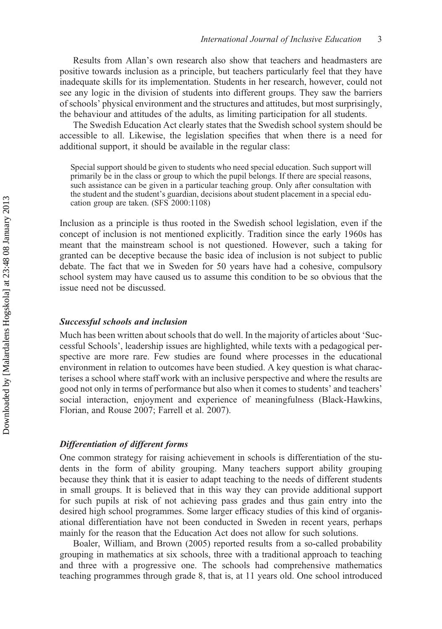Results from Allan's own research also show that teachers and headmasters are positive towards inclusion as a principle, but teachers particularly feel that they have inadequate skills for its implementation. Students in her research, however, could not see any logic in the division of students into different groups. They saw the barriers of schools' physical environment and the structures and attitudes, but most surprisingly, the behaviour and attitudes of the adults, as limiting participation for all students.

The Swedish Education Act clearly states that the Swedish school system should be accessible to all. Likewise, the legislation specifies that when there is a need for additional support, it should be available in the regular class:

Special support should be given to students who need special education. Such support will primarily be in the class or group to which the pupil belongs. If there are special reasons, such assistance can be given in a particular teaching group. Only after consultation with the student and the student's guardian, decisions about student placement in a special education group are taken. (SFS 2000:1108)

Inclusion as a principle is thus rooted in the Swedish school legislation, even if the concept of inclusion is not mentioned explicitly. Tradition since the early 1960s has meant that the mainstream school is not questioned. However, such a taking for granted can be deceptive because the basic idea of inclusion is not subject to public debate. The fact that we in Sweden for 50 years have had a cohesive, compulsory school system may have caused us to assume this condition to be so obvious that the issue need not be discussed.

#### Successful schools and inclusion

Much has been written about schools that do well. In the majority of articles about 'Successful Schools', leadership issues are highlighted, while texts with a pedagogical perspective are more rare. Few studies are found where processes in the educational environment in relation to outcomes have been studied. A key question is what characterises a school where staff work with an inclusive perspective and where the results are good not only in terms of performance but also when it comes to students' and teachers' social interaction, enjoyment and experience of meaningfulness (Black-Hawkins, Florian, and Rouse 2007; Farrell et al. 2007).

### Differentiation of different forms

One common strategy for raising achievement in schools is differentiation of the students in the form of ability grouping. Many teachers support ability grouping because they think that it is easier to adapt teaching to the needs of different students in small groups. It is believed that in this way they can provide additional support for such pupils at risk of not achieving pass grades and thus gain entry into the desired high school programmes. Some larger efficacy studies of this kind of organisational differentiation have not been conducted in Sweden in recent years, perhaps mainly for the reason that the Education Act does not allow for such solutions.

Boaler, William, and Brown (2005) reported results from a so-called probability grouping in mathematics at six schools, three with a traditional approach to teaching and three with a progressive one. The schools had comprehensive mathematics teaching programmes through grade 8, that is, at 11 years old. One school introduced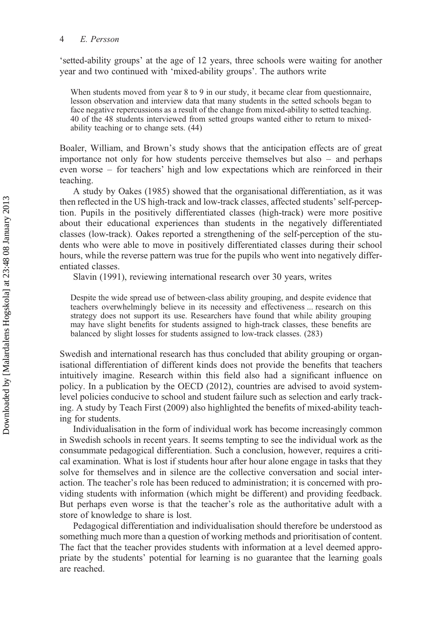'setted-ability groups' at the age of 12 years, three schools were waiting for another year and two continued with 'mixed-ability groups'. The authors write

When students moved from year 8 to 9 in our study, it became clear from questionnaire, lesson observation and interview data that many students in the setted schools began to face negative repercussions as a result of the change from mixed-ability to setted teaching. 40 of the 48 students interviewed from setted groups wanted either to return to mixedability teaching or to change sets. (44)

Boaler, William, and Brown's study shows that the anticipation effects are of great importance not only for how students perceive themselves but also – and perhaps even worse – for teachers' high and low expectations which are reinforced in their teaching.

A study by Oakes (1985) showed that the organisational differentiation, as it was then reflected in the US high-track and low-track classes, affected students' self-perception. Pupils in the positively differentiated classes (high-track) were more positive about their educational experiences than students in the negatively differentiated classes (low-track). Oakes reported a strengthening of the self-perception of the students who were able to move in positively differentiated classes during their school hours, while the reverse pattern was true for the pupils who went into negatively differentiated classes.

Slavin (1991), reviewing international research over 30 years, writes

Despite the wide spread use of between-class ability grouping, and despite evidence that teachers overwhelmingly believe in its necessity and effectiveness ... research on this strategy does not support its use. Researchers have found that while ability grouping may have slight benefits for students assigned to high-track classes, these benefits are balanced by slight losses for students assigned to low-track classes. (283)

Swedish and international research has thus concluded that ability grouping or organisational differentiation of different kinds does not provide the benefits that teachers intuitively imagine. Research within this field also had a significant influence on policy. In a publication by the OECD (2012), countries are advised to avoid systemlevel policies conducive to school and student failure such as selection and early tracking. A study by Teach First (2009) also highlighted the benefits of mixed-ability teaching for students.

Individualisation in the form of individual work has become increasingly common in Swedish schools in recent years. It seems tempting to see the individual work as the consummate pedagogical differentiation. Such a conclusion, however, requires a critical examination. What is lost if students hour after hour alone engage in tasks that they solve for themselves and in silence are the collective conversation and social interaction. The teacher's role has been reduced to administration; it is concerned with providing students with information (which might be different) and providing feedback. But perhaps even worse is that the teacher's role as the authoritative adult with a store of knowledge to share is lost.

Pedagogical differentiation and individualisation should therefore be understood as something much more than a question of working methods and prioritisation of content. The fact that the teacher provides students with information at a level deemed appropriate by the students' potential for learning is no guarantee that the learning goals are reached.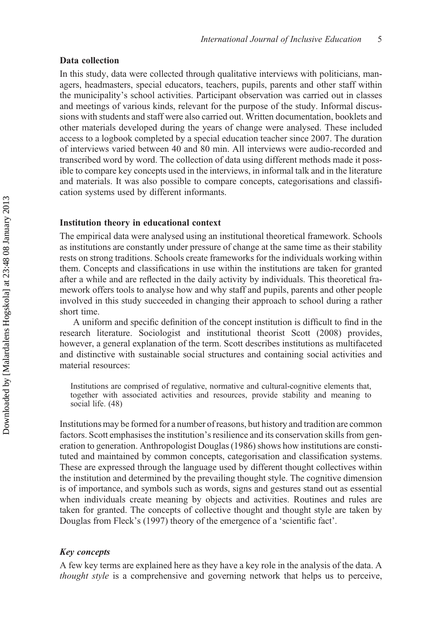### Data collection

In this study, data were collected through qualitative interviews with politicians, managers, headmasters, special educators, teachers, pupils, parents and other staff within the municipality's school activities. Participant observation was carried out in classes and meetings of various kinds, relevant for the purpose of the study. Informal discussions with students and staff were also carried out. Written documentation, booklets and other materials developed during the years of change were analysed. These included access to a logbook completed by a special education teacher since 2007. The duration of interviews varied between 40 and 80 min. All interviews were audio-recorded and transcribed word by word. The collection of data using different methods made it possible to compare key concepts used in the interviews, in informal talk and in the literature and materials. It was also possible to compare concepts, categorisations and classification systems used by different informants.

#### Institution theory in educational context

The empirical data were analysed using an institutional theoretical framework. Schools as institutions are constantly under pressure of change at the same time as their stability rests on strong traditions. Schools create frameworks for the individuals working within them. Concepts and classifications in use within the institutions are taken for granted after a while and are reflected in the daily activity by individuals. This theoretical framework offers tools to analyse how and why staff and pupils, parents and other people involved in this study succeeded in changing their approach to school during a rather short time.

A uniform and specific definition of the concept institution is difficult to find in the research literature. Sociologist and institutional theorist Scott (2008) provides, however, a general explanation of the term. Scott describes institutions as multifaceted and distinctive with sustainable social structures and containing social activities and material resources:

Institutions are comprised of regulative, normative and cultural-cognitive elements that, together with associated activities and resources, provide stability and meaning to social life. (48)

Institutions may be formed for a number of reasons, but history and tradition are common factors. Scott emphasises the institution's resilience and its conservation skills from generation to generation. Anthropologist Douglas (1986) shows how institutions are constituted and maintained by common concepts, categorisation and classification systems. These are expressed through the language used by different thought collectives within the institution and determined by the prevailing thought style. The cognitive dimension is of importance, and symbols such as words, signs and gestures stand out as essential when individuals create meaning by objects and activities. Routines and rules are taken for granted. The concepts of collective thought and thought style are taken by Douglas from Fleck's (1997) theory of the emergence of a 'scientific fact'.

#### Key concepts

A few key terms are explained here as they have a key role in the analysis of the data. A thought style is a comprehensive and governing network that helps us to perceive,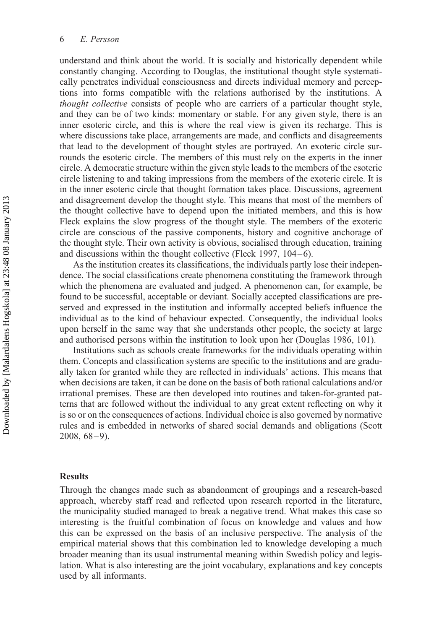understand and think about the world. It is socially and historically dependent while constantly changing. According to Douglas, the institutional thought style systematically penetrates individual consciousness and directs individual memory and perceptions into forms compatible with the relations authorised by the institutions. A thought collective consists of people who are carriers of a particular thought style, and they can be of two kinds: momentary or stable. For any given style, there is an inner esoteric circle, and this is where the real view is given its recharge. This is where discussions take place, arrangements are made, and conflicts and disagreements that lead to the development of thought styles are portrayed. An exoteric circle surrounds the esoteric circle. The members of this must rely on the experts in the inner circle. A democratic structure within the given style leads to the members of the esoteric circle listening to and taking impressions from the members of the exoteric circle. It is in the inner esoteric circle that thought formation takes place. Discussions, agreement and disagreement develop the thought style. This means that most of the members of the thought collective have to depend upon the initiated members, and this is how Fleck explains the slow progress of the thought style. The members of the exoteric circle are conscious of the passive components, history and cognitive anchorage of the thought style. Their own activity is obvious, socialised through education, training and discussions within the thought collective (Fleck 1997, 104–6).

As the institution creates its classifications, the individuals partly lose their independence. The social classifications create phenomena constituting the framework through which the phenomena are evaluated and judged. A phenomenon can, for example, be found to be successful, acceptable or deviant. Socially accepted classifications are preserved and expressed in the institution and informally accepted beliefs influence the individual as to the kind of behaviour expected. Consequently, the individual looks upon herself in the same way that she understands other people, the society at large and authorised persons within the institution to look upon her (Douglas 1986, 101).

Institutions such as schools create frameworks for the individuals operating within them. Concepts and classification systems are specific to the institutions and are gradually taken for granted while they are reflected in individuals' actions. This means that when decisions are taken, it can be done on the basis of both rational calculations and/or irrational premises. These are then developed into routines and taken-for-granted patterns that are followed without the individual to any great extent reflecting on why it is so or on the consequences of actions. Individual choice is also governed by normative rules and is embedded in networks of shared social demands and obligations (Scott 2008, 68–9).

#### **Results**

Through the changes made such as abandonment of groupings and a research-based approach, whereby staff read and reflected upon research reported in the literature, the municipality studied managed to break a negative trend. What makes this case so interesting is the fruitful combination of focus on knowledge and values and how this can be expressed on the basis of an inclusive perspective. The analysis of the empirical material shows that this combination led to knowledge developing a much broader meaning than its usual instrumental meaning within Swedish policy and legislation. What is also interesting are the joint vocabulary, explanations and key concepts used by all informants.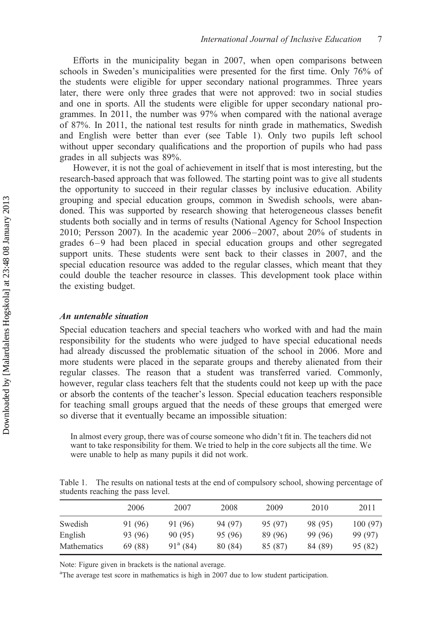Efforts in the municipality began in 2007, when open comparisons between schools in Sweden's municipalities were presented for the first time. Only 76% of the students were eligible for upper secondary national programmes. Three years later, there were only three grades that were not approved: two in social studies and one in sports. All the students were eligible for upper secondary national programmes. In 2011, the number was 97% when compared with the national average of 87%. In 2011, the national test results for ninth grade in mathematics, Swedish and English were better than ever (see Table 1). Only two pupils left school without upper secondary qualifications and the proportion of pupils who had pass grades in all subjects was 89%.

However, it is not the goal of achievement in itself that is most interesting, but the research-based approach that was followed. The starting point was to give all students the opportunity to succeed in their regular classes by inclusive education. Ability grouping and special education groups, common in Swedish schools, were abandoned. This was supported by research showing that heterogeneous classes benefit students both socially and in terms of results (National Agency for School Inspection 2010; Persson 2007). In the academic year 2006–2007, about 20% of students in grades 6–9 had been placed in special education groups and other segregated support units. These students were sent back to their classes in 2007, and the special education resource was added to the regular classes, which meant that they could double the teacher resource in classes. This development took place within the existing budget.

### An untenable situation

Special education teachers and special teachers who worked with and had the main responsibility for the students who were judged to have special educational needs had already discussed the problematic situation of the school in 2006. More and more students were placed in the separate groups and thereby alienated from their regular classes. The reason that a student was transferred varied. Commonly, however, regular class teachers felt that the students could not keep up with the pace or absorb the contents of the teacher's lesson. Special education teachers responsible for teaching small groups argued that the needs of these groups that emerged were so diverse that it eventually became an impossible situation:

In almost every group, there was of course someone who didn't fit in. The teachers did not want to take responsibility for them. We tried to help in the core subjects all the time. We were unable to help as many pupils it did not work.

|                                   |  | Table 1. The results on national tests at the end of compulsory school, showing percentage of |  |  |
|-----------------------------------|--|-----------------------------------------------------------------------------------------------|--|--|
| students reaching the pass level. |  |                                                                                               |  |  |

|             | 2006    | 2007              | 2008    | 2009    | 2010    | 2011    |
|-------------|---------|-------------------|---------|---------|---------|---------|
| Swedish     | 91 (96) | 91 (96)           | 94 (97) | 95 (97) | 98 (95) | 100(97) |
| English     | 93 (96) | 90 (95)           | 95 (96) | 89 (96) | 99 (96) | 99 (97) |
| Mathematics | 69 (88) | $91^{\circ}$ (84) | 80 (84) | 85 (87) | 84 (89) | 95 (82) |

Note: Figure given in brackets is the national average.

<sup>a</sup>The average test score in mathematics is high in 2007 due to low student participation.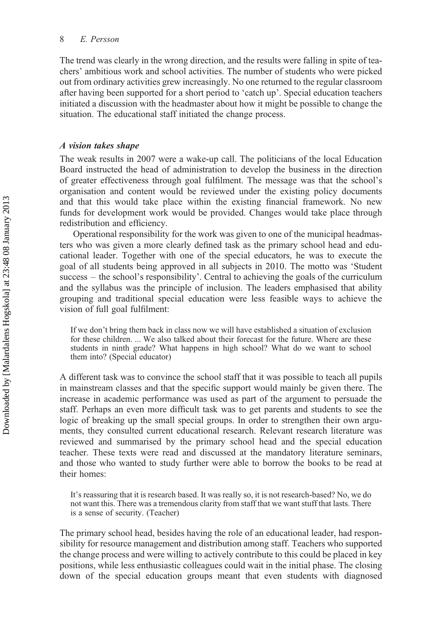The trend was clearly in the wrong direction, and the results were falling in spite of teachers' ambitious work and school activities. The number of students who were picked out from ordinary activities grew increasingly. No one returned to the regular classroom after having been supported for a short period to 'catch up'. Special education teachers initiated a discussion with the headmaster about how it might be possible to change the situation. The educational staff initiated the change process.

## A vision takes shape

The weak results in 2007 were a wake-up call. The politicians of the local Education Board instructed the head of administration to develop the business in the direction of greater effectiveness through goal fulfilment. The message was that the school's organisation and content would be reviewed under the existing policy documents and that this would take place within the existing financial framework. No new funds for development work would be provided. Changes would take place through redistribution and efficiency.

Operational responsibility for the work was given to one of the municipal headmasters who was given a more clearly defined task as the primary school head and educational leader. Together with one of the special educators, he was to execute the goal of all students being approved in all subjects in 2010. The motto was 'Student success – the school's responsibility'. Central to achieving the goals of the curriculum and the syllabus was the principle of inclusion. The leaders emphasised that ability grouping and traditional special education were less feasible ways to achieve the vision of full goal fulfilment:

If we don't bring them back in class now we will have established a situation of exclusion for these children. ... We also talked about their forecast for the future. Where are these students in ninth grade? What happens in high school? What do we want to school them into? (Special educator)

A different task was to convince the school staff that it was possible to teach all pupils in mainstream classes and that the specific support would mainly be given there. The increase in academic performance was used as part of the argument to persuade the staff. Perhaps an even more difficult task was to get parents and students to see the logic of breaking up the small special groups. In order to strengthen their own arguments, they consulted current educational research. Relevant research literature was reviewed and summarised by the primary school head and the special education teacher. These texts were read and discussed at the mandatory literature seminars, and those who wanted to study further were able to borrow the books to be read at their homes:

It's reassuring that it is research based. It was really so, it is not research-based? No, we do not want this. There was a tremendous clarity from staff that we want stuff that lasts. There is a sense of security. (Teacher)

The primary school head, besides having the role of an educational leader, had responsibility for resource management and distribution among staff. Teachers who supported the change process and were willing to actively contribute to this could be placed in key positions, while less enthusiastic colleagues could wait in the initial phase. The closing down of the special education groups meant that even students with diagnosed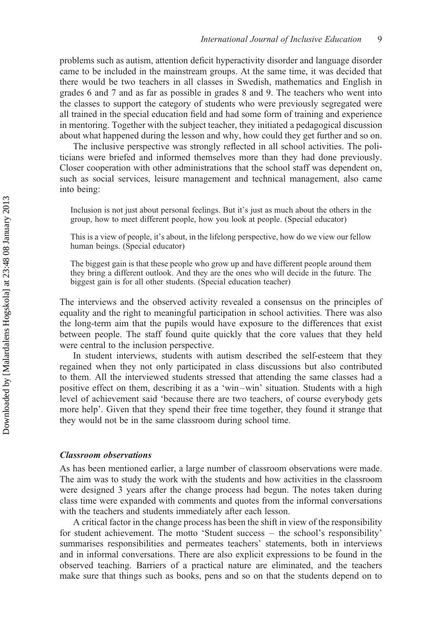problems such as autism, attention deficit hyperactivity disorder and language disorder came to be included in the mainstream groups. At the same time, it was decided that there would be two teachers in all classes in Swedish, mathematics and English in grades 6 and 7 and as far as possible in grades 8 and 9. The teachers who went into the classes to support the category of students who were previously segregated were all trained in the special education field and had some form of training and experience in mentoring. Together with the subject teacher, they initiated a pedagogical discussion about what happened during the lesson and why, how could they get further and so on.

The inclusive perspective was strongly reflected in all school activities. The politicians were briefed and informed themselves more than they had done previously. Closer cooperation with other administrations that the school staff was dependent on, such as social services, leisure management and technical management, also came into being:

Inclusion is not just about personal feelings. But it's just as much about the others in the group, how to meet different people, how you look at people. (Special educator)

This is a view of people, it's about, in the lifelong perspective, how do we view our fellow human beings. (Special educator)

The biggest gain is that these people who grow up and have different people around them they bring a different outlook. And they are the ones who will decide in the future. The biggest gain is for all other students. (Special education teacher)

The interviews and the observed activity revealed a consensus on the principles of equality and the right to meaningful participation in school activities. There was also the long-term aim that the pupils would have exposure to the differences that exist between people. The staff found quite quickly that the core values that they held were central to the inclusion perspective.

In student interviews, students with autism described the self-esteem that they regained when they not only participated in class discussions but also contributed to them. All the interviewed students stressed that attending the same classes had a positive effect on them, describing it as a 'win–win' situation. Students with a high level of achievement said 'because there are two teachers, of course everybody gets more help'. Given that they spend their free time together, they found it strange that they would not be in the same classroom during school time.

#### Classroom observations

As has been mentioned earlier, a large number of classroom observations were made. The aim was to study the work with the students and how activities in the classroom were designed 3 years after the change process had begun. The notes taken during class time were expanded with comments and quotes from the informal conversations with the teachers and students immediately after each lesson.

A critical factor in the change process has been the shift in view of the responsibility for student achievement. The motto 'Student success – the school's responsibility' summarises responsibilities and permeates teachers' statements, both in interviews and in informal conversations. There are also explicit expressions to be found in the observed teaching. Barriers of a practical nature are eliminated, and the teachers make sure that things such as books, pens and so on that the students depend on to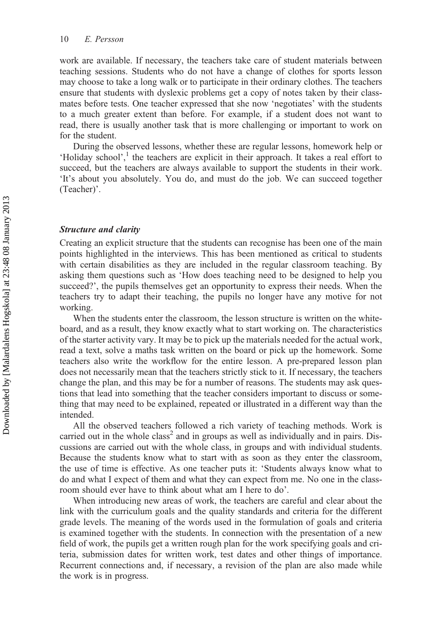work are available. If necessary, the teachers take care of student materials between teaching sessions. Students who do not have a change of clothes for sports lesson may choose to take a long walk or to participate in their ordinary clothes. The teachers ensure that students with dyslexic problems get a copy of notes taken by their classmates before tests. One teacher expressed that she now 'negotiates' with the students to a much greater extent than before. For example, if a student does not want to read, there is usually another task that is more challenging or important to work on for the student.

During the observed lessons, whether these are regular lessons, homework help or 'Holiday school', $<sup>1</sup>$  the teachers are explicit in their approach. It takes a real effort to</sup> succeed, but the teachers are always available to support the students in their work. 'It's about you absolutely. You do, and must do the job. We can succeed together (Teacher)'.

#### Structure and clarity

Creating an explicit structure that the students can recognise has been one of the main points highlighted in the interviews. This has been mentioned as critical to students with certain disabilities as they are included in the regular classroom teaching. By asking them questions such as 'How does teaching need to be designed to help you succeed?', the pupils themselves get an opportunity to express their needs. When the teachers try to adapt their teaching, the pupils no longer have any motive for not working.

When the students enter the classroom, the lesson structure is written on the whiteboard, and as a result, they know exactly what to start working on. The characteristics of the starter activity vary. It may be to pick up the materials needed for the actual work, read a text, solve a maths task written on the board or pick up the homework. Some teachers also write the workflow for the entire lesson. A pre-prepared lesson plan does not necessarily mean that the teachers strictly stick to it. If necessary, the teachers change the plan, and this may be for a number of reasons. The students may ask questions that lead into something that the teacher considers important to discuss or something that may need to be explained, repeated or illustrated in a different way than the intended.

All the observed teachers followed a rich variety of teaching methods. Work is carried out in the whole  $class<sup>2</sup>$  and in groups as well as individually and in pairs. Discussions are carried out with the whole class, in groups and with individual students. Because the students know what to start with as soon as they enter the classroom, the use of time is effective. As one teacher puts it: 'Students always know what to do and what I expect of them and what they can expect from me. No one in the classroom should ever have to think about what am I here to do'.

When introducing new areas of work, the teachers are careful and clear about the link with the curriculum goals and the quality standards and criteria for the different grade levels. The meaning of the words used in the formulation of goals and criteria is examined together with the students. In connection with the presentation of a new field of work, the pupils get a written rough plan for the work specifying goals and criteria, submission dates for written work, test dates and other things of importance. Recurrent connections and, if necessary, a revision of the plan are also made while the work is in progress.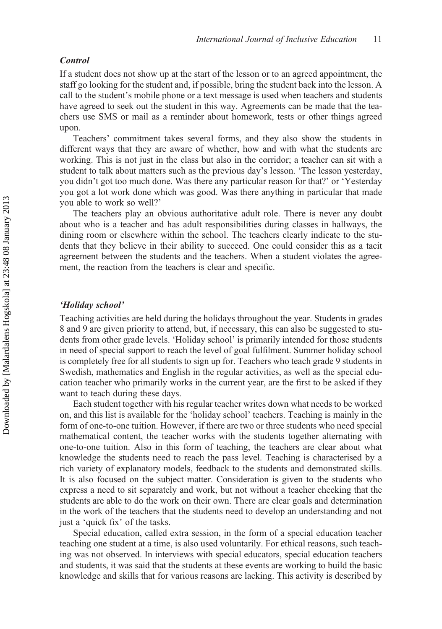#### **Control**

If a student does not show up at the start of the lesson or to an agreed appointment, the staff go looking for the student and, if possible, bring the student back into the lesson. A call to the student's mobile phone or a text message is used when teachers and students have agreed to seek out the student in this way. Agreements can be made that the teachers use SMS or mail as a reminder about homework, tests or other things agreed upon.

Teachers' commitment takes several forms, and they also show the students in different ways that they are aware of whether, how and with what the students are working. This is not just in the class but also in the corridor; a teacher can sit with a student to talk about matters such as the previous day's lesson. 'The lesson yesterday, you didn't got too much done. Was there any particular reason for that?' or 'Yesterday you got a lot work done which was good. Was there anything in particular that made you able to work so well?'

The teachers play an obvious authoritative adult role. There is never any doubt about who is a teacher and has adult responsibilities during classes in hallways, the dining room or elsewhere within the school. The teachers clearly indicate to the students that they believe in their ability to succeed. One could consider this as a tacit agreement between the students and the teachers. When a student violates the agreement, the reaction from the teachers is clear and specific.

#### 'Holiday school'

Teaching activities are held during the holidays throughout the year. Students in grades 8 and 9 are given priority to attend, but, if necessary, this can also be suggested to students from other grade levels. 'Holiday school' is primarily intended for those students in need of special support to reach the level of goal fulfilment. Summer holiday school is completely free for all students to sign up for. Teachers who teach grade 9 students in Swedish, mathematics and English in the regular activities, as well as the special education teacher who primarily works in the current year, are the first to be asked if they want to teach during these days.

Each student together with his regular teacher writes down what needs to be worked on, and this list is available for the 'holiday school' teachers. Teaching is mainly in the form of one-to-one tuition. However, if there are two or three students who need special mathematical content, the teacher works with the students together alternating with one-to-one tuition. Also in this form of teaching, the teachers are clear about what knowledge the students need to reach the pass level. Teaching is characterised by a rich variety of explanatory models, feedback to the students and demonstrated skills. It is also focused on the subject matter. Consideration is given to the students who express a need to sit separately and work, but not without a teacher checking that the students are able to do the work on their own. There are clear goals and determination in the work of the teachers that the students need to develop an understanding and not just a 'quick fix' of the tasks.

Special education, called extra session, in the form of a special education teacher teaching one student at a time, is also used voluntarily. For ethical reasons, such teaching was not observed. In interviews with special educators, special education teachers and students, it was said that the students at these events are working to build the basic knowledge and skills that for various reasons are lacking. This activity is described by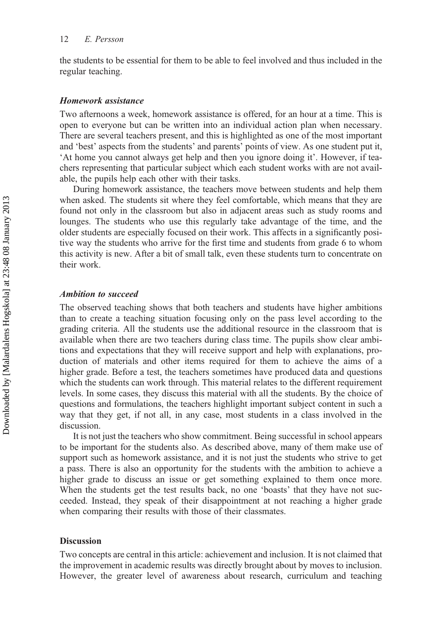the students to be essential for them to be able to feel involved and thus included in the regular teaching.

### Homework assistance

Two afternoons a week, homework assistance is offered, for an hour at a time. This is open to everyone but can be written into an individual action plan when necessary. There are several teachers present, and this is highlighted as one of the most important and 'best' aspects from the students' and parents' points of view. As one student put it, 'At home you cannot always get help and then you ignore doing it'. However, if teachers representing that particular subject which each student works with are not available, the pupils help each other with their tasks.

During homework assistance, the teachers move between students and help them when asked. The students sit where they feel comfortable, which means that they are found not only in the classroom but also in adjacent areas such as study rooms and lounges. The students who use this regularly take advantage of the time, and the older students are especially focused on their work. This affects in a significantly positive way the students who arrive for the first time and students from grade 6 to whom this activity is new. After a bit of small talk, even these students turn to concentrate on their work.

#### Ambition to succeed

The observed teaching shows that both teachers and students have higher ambitions than to create a teaching situation focusing only on the pass level according to the grading criteria. All the students use the additional resource in the classroom that is available when there are two teachers during class time. The pupils show clear ambitions and expectations that they will receive support and help with explanations, production of materials and other items required for them to achieve the aims of a higher grade. Before a test, the teachers sometimes have produced data and questions which the students can work through. This material relates to the different requirement levels. In some cases, they discuss this material with all the students. By the choice of questions and formulations, the teachers highlight important subject content in such a way that they get, if not all, in any case, most students in a class involved in the discussion.

It is not just the teachers who show commitment. Being successful in school appears to be important for the students also. As described above, many of them make use of support such as homework assistance, and it is not just the students who strive to get a pass. There is also an opportunity for the students with the ambition to achieve a higher grade to discuss an issue or get something explained to them once more. When the students get the test results back, no one 'boasts' that they have not succeeded. Instead, they speak of their disappointment at not reaching a higher grade when comparing their results with those of their classmates.

#### Discussion

Two concepts are central in this article: achievement and inclusion. It is not claimed that the improvement in academic results was directly brought about by moves to inclusion. However, the greater level of awareness about research, curriculum and teaching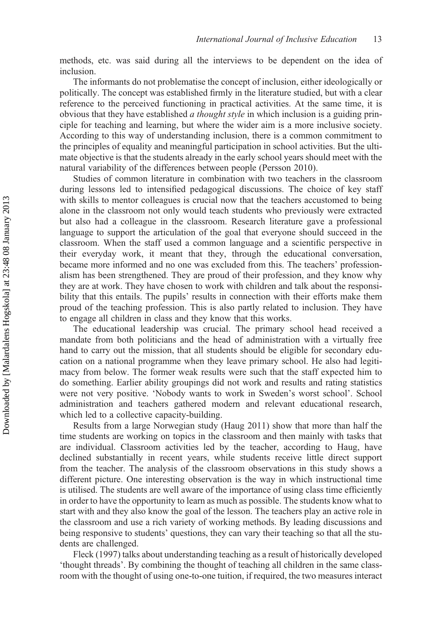methods, etc. was said during all the interviews to be dependent on the idea of inclusion.

The informants do not problematise the concept of inclusion, either ideologically or politically. The concept was established firmly in the literature studied, but with a clear reference to the perceived functioning in practical activities. At the same time, it is obvious that they have established a thought style in which inclusion is a guiding principle for teaching and learning, but where the wider aim is a more inclusive society. According to this way of understanding inclusion, there is a common commitment to the principles of equality and meaningful participation in school activities. But the ultimate objective is that the students already in the early school years should meet with the natural variability of the differences between people (Persson 2010).

Studies of common literature in combination with two teachers in the classroom during lessons led to intensified pedagogical discussions. The choice of key staff with skills to mentor colleagues is crucial now that the teachers accustomed to being alone in the classroom not only would teach students who previously were extracted but also had a colleague in the classroom. Research literature gave a professional language to support the articulation of the goal that everyone should succeed in the classroom. When the staff used a common language and a scientific perspective in their everyday work, it meant that they, through the educational conversation, became more informed and no one was excluded from this. The teachers' professionalism has been strengthened. They are proud of their profession, and they know why they are at work. They have chosen to work with children and talk about the responsibility that this entails. The pupils' results in connection with their efforts make them proud of the teaching profession. This is also partly related to inclusion. They have to engage all children in class and they know that this works.

The educational leadership was crucial. The primary school head received a mandate from both politicians and the head of administration with a virtually free hand to carry out the mission, that all students should be eligible for secondary education on a national programme when they leave primary school. He also had legitimacy from below. The former weak results were such that the staff expected him to do something. Earlier ability groupings did not work and results and rating statistics were not very positive. 'Nobody wants to work in Sweden's worst school'. School administration and teachers gathered modern and relevant educational research, which led to a collective capacity-building.

Results from a large Norwegian study (Haug 2011) show that more than half the time students are working on topics in the classroom and then mainly with tasks that are individual. Classroom activities led by the teacher, according to Haug, have declined substantially in recent years, while students receive little direct support from the teacher. The analysis of the classroom observations in this study shows a different picture. One interesting observation is the way in which instructional time is utilised. The students are well aware of the importance of using class time efficiently in order to have the opportunity to learn as much as possible. The students know what to start with and they also know the goal of the lesson. The teachers play an active role in the classroom and use a rich variety of working methods. By leading discussions and being responsive to students' questions, they can vary their teaching so that all the students are challenged.

Fleck (1997) talks about understanding teaching as a result of historically developed 'thought threads'. By combining the thought of teaching all children in the same classroom with the thought of using one-to-one tuition, if required, the two measures interact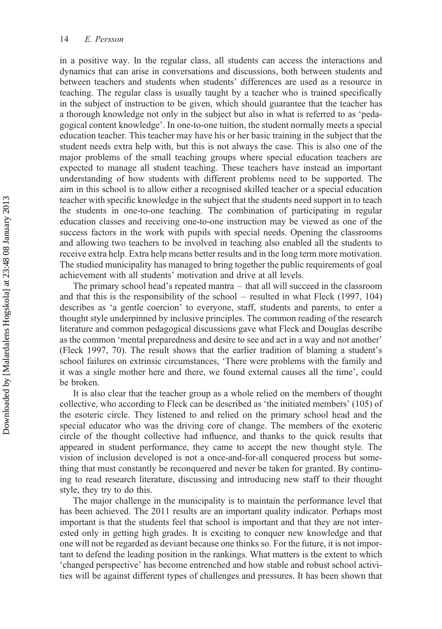in a positive way. In the regular class, all students can access the interactions and dynamics that can arise in conversations and discussions, both between students and between teachers and students when students' differences are used as a resource in teaching. The regular class is usually taught by a teacher who is trained specifically in the subject of instruction to be given, which should guarantee that the teacher has a thorough knowledge not only in the subject but also in what is referred to as 'pedagogical content knowledge'. In one-to-one tuition, the student normally meets a special education teacher. This teacher may have his or her basic training in the subject that the student needs extra help with, but this is not always the case. This is also one of the major problems of the small teaching groups where special education teachers are expected to manage all student teaching. These teachers have instead an important understanding of how students with different problems need to be supported. The aim in this school is to allow either a recognised skilled teacher or a special education teacher with specific knowledge in the subject that the students need support in to teach the students in one-to-one teaching. The combination of participating in regular education classes and receiving one-to-one instruction may be viewed as one of the success factors in the work with pupils with special needs. Opening the classrooms and allowing two teachers to be involved in teaching also enabled all the students to receive extra help. Extra help means better results and in the long term more motivation. The studied municipality has managed to bring together the public requirements of goal achievement with all students' motivation and drive at all levels.

The primary school head's repeated mantra – that all will succeed in the classroom and that this is the responsibility of the school – resulted in what Fleck (1997, 104) describes as 'a gentle coercion' to everyone, staff, students and parents, to enter a thought style underpinned by inclusive principles. The common reading of the research literature and common pedagogical discussions gave what Fleck and Douglas describe as the common 'mental preparedness and desire to see and act in a way and not another' (Fleck 1997, 70). The result shows that the earlier tradition of blaming a student's school failures on extrinsic circumstances, 'There were problems with the family and it was a single mother here and there, we found external causes all the time', could be broken.

It is also clear that the teacher group as a whole relied on the members of thought collective, who according to Fleck can be described as 'the initiated members' (105) of the esoteric circle. They listened to and relied on the primary school head and the special educator who was the driving core of change. The members of the exoteric circle of the thought collective had influence, and thanks to the quick results that appeared in student performance, they came to accept the new thought style. The vision of inclusion developed is not a once-and-for-all conquered process but something that must constantly be reconquered and never be taken for granted. By continuing to read research literature, discussing and introducing new staff to their thought style, they try to do this.

The major challenge in the municipality is to maintain the performance level that has been achieved. The 2011 results are an important quality indicator. Perhaps most important is that the students feel that school is important and that they are not interested only in getting high grades. It is exciting to conquer new knowledge and that one will not be regarded as deviant because one thinks so. For the future, it is not important to defend the leading position in the rankings. What matters is the extent to which 'changed perspective' has become entrenched and how stable and robust school activities will be against different types of challenges and pressures. It has been shown that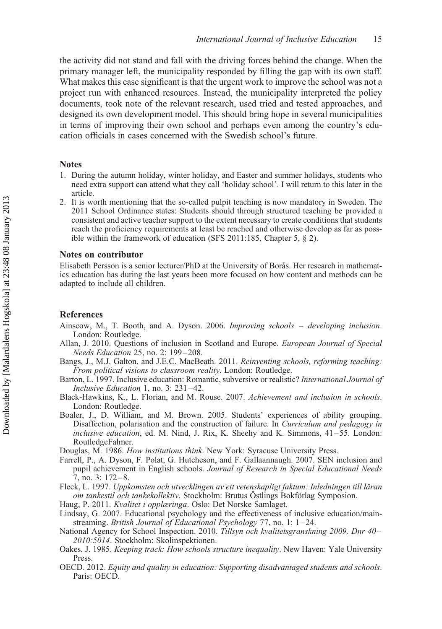the activity did not stand and fall with the driving forces behind the change. When the primary manager left, the municipality responded by filling the gap with its own staff. What makes this case significant is that the urgent work to improve the school was not a project run with enhanced resources. Instead, the municipality interpreted the policy documents, took note of the relevant research, used tried and tested approaches, and designed its own development model. This should bring hope in several municipalities in terms of improving their own school and perhaps even among the country's education officials in cases concerned with the Swedish school's future.

#### **Notes**

- 1. During the autumn holiday, winter holiday, and Easter and summer holidays, students who need extra support can attend what they call 'holiday school'. I will return to this later in the article.
- 2. It is worth mentioning that the so-called pulpit teaching is now mandatory in Sweden. The 2011 School Ordinance states: Students should through structured teaching be provided a consistent and active teacher support to the extent necessary to create conditions that students reach the proficiency requirements at least be reached and otherwise develop as far as possible within the framework of education (SFS 2011:185, Chapter 5, § 2).

#### Notes on contributor

Elisabeth Persson is a senior lecturer/PhD at the University of Borås. Her research in mathematics education has during the last years been more focused on how content and methods can be adapted to include all children.

#### References

- Ainscow, M., T. Booth, and A. Dyson. 2006. Improving schools developing inclusion. London: Routledge.
- Allan, J. 2010. Questions of inclusion in Scotland and Europe. European Journal of Special Needs Education 25, no. 2: 199–208.
- Bangs, J., M.J. Galton, and J.E.C. MacBeath. 2011. Reinventing schools, reforming teaching: From political visions to classroom reality. London: Routledge.
- Barton, L. 1997. Inclusive education: Romantic, subversive or realistic? International Journal of Inclusive Education 1, no. 3: 231–42.
- Black-Hawkins, K., L. Florian, and M. Rouse. 2007. Achievement and inclusion in schools. London: Routledge.
- Boaler, J., D. William, and M. Brown. 2005. Students' experiences of ability grouping. Disaffection, polarisation and the construction of failure. In *Curriculum and pedagogy in* inclusive education, ed. M. Nind, J. Rix, K. Sheehy and K. Simmons, 41–55. London: RoutledgeFalmer.
- Douglas, M. 1986. How institutions think. New York: Syracuse University Press.
- Farrell, P., A. Dyson, F. Polat, G. Hutcheson, and F. Gallaannaugh. 2007. SEN inclusion and pupil achievement in English schools. Journal of Research in Special Educational Needs 7, no. 3: 172–8.
- Fleck, L. 1997. Uppkomsten och utvecklingen av ett vetenskapligt faktum: Inledningen till läran om tankestil och tankekollektiv. Stockholm: Brutus Östlings Bokförlag Symposion.
- Haug, P. 2011. Kvalitet i opplæringa. Oslo: Det Norske Samlaget.
- Lindsay, G. 2007. Educational psychology and the effectiveness of inclusive education/mainstreaming. British Journal of Educational Psychology 77, no. 1: 1-24.
- National Agency for School Inspection. 2010. Tillsyn och kvalitetsgranskning 2009. Dnr 40– 2010:5014. Stockholm: Skolinspektionen.
- Oakes, J. 1985. Keeping track: How schools structure inequality. New Haven: Yale University Press.
- OECD. 2012. Equity and quality in education: Supporting disadvantaged students and schools. Paris: OECD.